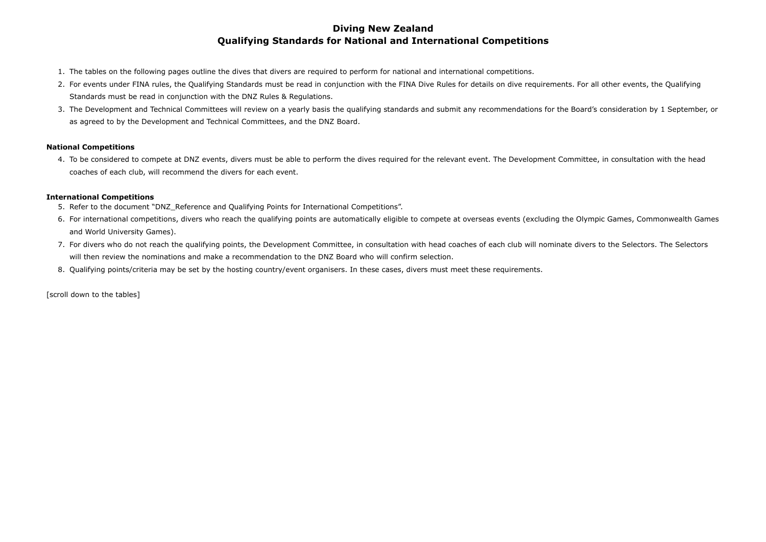## **Diving New Zealand Qualifying Standards for National and International Competitions**

- 1. The tables on the following pages outline the dives that divers are required to perform for national and international competitions.
- 2. For events under FINA rules, the Qualifying Standards must be read in conjunction with the FINA Dive Rules for details on dive requirements. For all other events, the Qualifying Standards must be read in conjunction with the DNZ Rules & Regulations.
- 3. The Development and Technical Committees will review on a yearly basis the qualifying standards and submit any recommendations for the Board's consideration by 1 September, or as agreed to by the Development and Technical Committees, and the DNZ Board.

4. To be considered to compete at DNZ events, divers must be able to perform the dives required for the relevant event. The Development Committee, in consultation with the head coaches of each club, will recommend the divers for each event.

### **National Competitions**

### **International Competitions**

- 5. Refer to the document "DNZ\_Reference and Qualifying Points for International Competitions".
- 6. For international competitions, divers who reach the qualifying points are automatically eligible to compete at overseas events (excluding the Olympic Games, Commonwealth Games and World University Games).
- 7. For divers who do not reach the qualifying points, the Development Committee, in consultation with head coaches of each club will nominate divers to the Selectors. The Selectors will then review the nominations and make a recommendation to the DNZ Board who will confirm selection.
- 8. Qualifying points/criteria may be set by the hosting country/event organisers. In these cases, divers must meet these requirements.

[scroll down to the tables]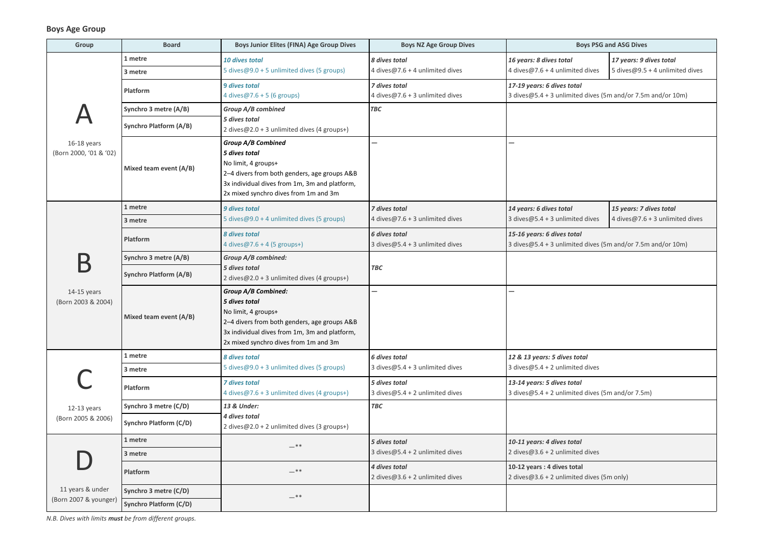## **Boys Age Group**

| <b>Boys PSG and ASG Dives</b>                                                             |                                                               |  |  |  |
|-------------------------------------------------------------------------------------------|---------------------------------------------------------------|--|--|--|
| 16 years: 8 dives total<br>4 dives@7.6 + 4 unlimited dives                                | 17 years: 9 dives total<br>5 dives@9.5 + 4 unlimited dives    |  |  |  |
| 17-19 years: 6 dives total<br>3 dives@5.4 + 3 unlimited dives (5m and/or 7.5m and/or 10m) |                                                               |  |  |  |
|                                                                                           |                                                               |  |  |  |
|                                                                                           |                                                               |  |  |  |
|                                                                                           |                                                               |  |  |  |
|                                                                                           |                                                               |  |  |  |
| 14 years: 6 dives total<br>3 dives $@5.4 + 3$ unlimited dives                             | 15 years: 7 dives total<br>4 dives $@7.6 + 3$ unlimited dives |  |  |  |
| 15-16 years: 6 dives total<br>3 dives@5.4 + 3 unlimited dives (5m and/or 7.5m and/or 10m) |                                                               |  |  |  |
|                                                                                           |                                                               |  |  |  |
|                                                                                           |                                                               |  |  |  |
|                                                                                           |                                                               |  |  |  |
|                                                                                           |                                                               |  |  |  |
| 12 & 13 years: 5 dives total                                                              |                                                               |  |  |  |
| 3 dives@5.4 + 2 unlimited dives                                                           |                                                               |  |  |  |
| 13-14 years: 5 dives total<br>3 dives@5.4 + 2 unlimited dives (5m and/or 7.5m)            |                                                               |  |  |  |
|                                                                                           |                                                               |  |  |  |
|                                                                                           |                                                               |  |  |  |
| 10-11 years: 4 dives total<br>2 dives@3.6 + 2 unlimited dives                             |                                                               |  |  |  |
| 10-12 years: 4 dives total<br>2 dives@3.6 + 2 unlimited dives (5m only)                   |                                                               |  |  |  |
|                                                                                           |                                                               |  |  |  |

| Group                                  | <b>Board</b>                  | <b>Boys Junior Elites (FINA) Age Group Dives</b>                                                                                                                                                             | <b>Boys NZ Age Group Dives</b>                             |                                                                                           | <b>Boys PSG and ASG Dives</b>   |
|----------------------------------------|-------------------------------|--------------------------------------------------------------------------------------------------------------------------------------------------------------------------------------------------------------|------------------------------------------------------------|-------------------------------------------------------------------------------------------|---------------------------------|
|                                        | 1 metre                       | 10 dives total                                                                                                                                                                                               | 8 dives total                                              | 16 years: 8 dives total                                                                   | 17 years: 9 dives total         |
| 16-18 years<br>(Born 2000, '01 & '02)  | 3 metre                       | 5 dives@9.0 + 5 unlimited dives (5 groups)                                                                                                                                                                   | 4 dives $@7.6 + 4$ unlimited dives                         | 4 dives@7.6 + 4 unlimited dives                                                           | 5 dives@9.5 + 4 unlimited dives |
|                                        | Platform                      | <b>9 dives total</b><br>4 dives@7.6 + 5 (6 groups)                                                                                                                                                           | 7 dives total<br>4 dives $@7.6 + 3$ unlimited dives        | 17-19 years: 6 dives total<br>3 dives@5.4 + 3 unlimited dives (5m and/or 7.5m and/or 10m) |                                 |
|                                        | Synchro 3 metre (A/B)         | Group A/B combined                                                                                                                                                                                           | <b>TBC</b>                                                 |                                                                                           |                                 |
|                                        | <b>Synchro Platform (A/B)</b> | 5 dives total<br>2 dives $@2.0 + 3$ unlimited dives (4 groups+)                                                                                                                                              |                                                            |                                                                                           |                                 |
|                                        | Mixed team event (A/B)        | <b>Group A/B Combined</b><br>5 dives total<br>No limit, 4 groups+<br>2-4 divers from both genders, age groups A&B<br>3x individual dives from 1m, 3m and platform,<br>2x mixed synchro dives from 1m and 3m  |                                                            |                                                                                           |                                 |
|                                        | 1 metre                       | 9 dives total                                                                                                                                                                                                | 7 dives total                                              | 14 years: 6 dives total                                                                   | 15 years: 7 dives total         |
|                                        | 3 metre                       | 5 dives@9.0 + 4 unlimited dives (5 groups)                                                                                                                                                                   | 4 dives@7.6 + 3 unlimited dives                            | 3 dives $@5.4 + 3$ unlimited dives                                                        | 4 dives@7.6 + 3 unlimited dives |
|                                        | Platform                      | 8 dives total<br>4 dives $@7.6 + 4(5$ groups+)                                                                                                                                                               | <b>6 dives total</b><br>3 dives $@5.4 + 3$ unlimited dives | 15-16 years: 6 dives total<br>3 dives@5.4 + 3 unlimited dives (5m and/or 7.5m and/or 10m) |                                 |
|                                        | Synchro 3 metre (A/B)         | Group A/B combined:                                                                                                                                                                                          |                                                            |                                                                                           |                                 |
| В<br>14-15 years<br>(Born 2003 & 2004) | <b>Synchro Platform (A/B)</b> | 5 dives total<br>2 dives $@2.0 + 3$ unlimited dives (4 groups+)                                                                                                                                              | <b>TBC</b>                                                 |                                                                                           |                                 |
|                                        | Mixed team event (A/B)        | <b>Group A/B Combined:</b><br>5 dives total<br>No limit, 4 groups+<br>2-4 divers from both genders, age groups A&B<br>3x individual dives from 1m, 3m and platform,<br>2x mixed synchro dives from 1m and 3m |                                                            |                                                                                           |                                 |
|                                        | 1 metre                       | 8 dives total                                                                                                                                                                                                | <b>6 dives total</b>                                       | 12 & 13 years: 5 dives total                                                              |                                 |
|                                        | 3 metre                       | 5 dives@9.0 + 3 unlimited dives (5 groups)                                                                                                                                                                   | 3 dives $@5.4 + 3$ unlimited dives                         | 3 dives $@5.4 + 2$ unlimited dives                                                        |                                 |
|                                        | Platform                      | <b>7 dives total</b><br>4 dives@7.6 + 3 unlimited dives (4 groups+)                                                                                                                                          | 5 dives total<br>3 dives $@5.4 + 2$ unlimited dives        | 13-14 years: 5 dives total<br>3 dives $@5.4 + 2$ unlimited dives (5m and/or 7.5m)         |                                 |
| 12-13 years                            | Synchro 3 metre (C/D)         | 13 & Under:                                                                                                                                                                                                  | <b>TBC</b>                                                 |                                                                                           |                                 |
| (Born 2005 & 2006)                     | <b>Synchro Platform (C/D)</b> | 4 dives total<br>2 dives $@2.0 + 2$ unlimited dives (3 groups+)                                                                                                                                              |                                                            |                                                                                           |                                 |
|                                        | 1 metre                       | $-***$                                                                                                                                                                                                       | 5 dives total                                              | 10-11 years: 4 dives total                                                                |                                 |
|                                        | 3 metre                       |                                                                                                                                                                                                              | 3 dives $@5.4 + 2$ unlimited dives                         | 2 dives $@3.6 + 2$ unlimited dives                                                        |                                 |
|                                        | Platform                      | $-***$                                                                                                                                                                                                       | 4 dives total<br>2 dives $@3.6 + 2$ unlimited dives        | 10-12 years : 4 dives total<br>2 dives $@3.6 + 2$ unlimited dives (5m only)               |                                 |
| 11 years & under                       | Synchro 3 metre (C/D)         | $-***$                                                                                                                                                                                                       |                                                            |                                                                                           |                                 |
| (Born 2007 & younger)                  | <b>Synchro Platform (C/D)</b> |                                                                                                                                                                                                              |                                                            |                                                                                           |                                 |

*N.B. Dives with limits must be from different groups.*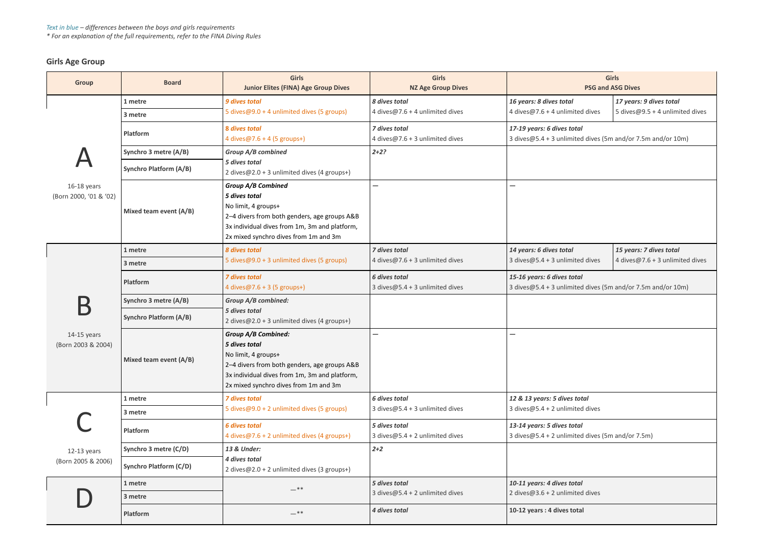# **Girls Age Group**

| <b>Girls</b><br><b>PSG and ASG Dives</b>                                                  |                                                            |  |  |  |
|-------------------------------------------------------------------------------------------|------------------------------------------------------------|--|--|--|
| 16 years: 8 dives total<br>4 dives@7.6 + 4 unlimited dives                                | 17 years: 9 dives total<br>5 dives@9.5 + 4 unlimited dives |  |  |  |
| 17-19 years: 6 dives total<br>3 dives@5.4 + 3 unlimited dives (5m and/or 7.5m and/or 10m) |                                                            |  |  |  |
|                                                                                           |                                                            |  |  |  |
|                                                                                           |                                                            |  |  |  |
| 14 years: 6 dives total<br>3 dives@5.4 + 3 unlimited dives                                | 15 years: 7 dives total<br>4 dives@7.6 + 3 unlimited dives |  |  |  |
| 15-16 years: 6 dives total<br>3 dives@5.4 + 3 unlimited dives (5m and/or 7.5m and/or 10m) |                                                            |  |  |  |
|                                                                                           |                                                            |  |  |  |
|                                                                                           |                                                            |  |  |  |
|                                                                                           |                                                            |  |  |  |
| 12 & 13 years: 5 dives total<br>3 dives@5.4 + 2 unlimited dives                           |                                                            |  |  |  |
| 13-14 years: 5 dives total<br>3 dives@5.4 + 2 unlimited dives (5m and/or 7.5m)            |                                                            |  |  |  |
|                                                                                           |                                                            |  |  |  |
| 10-11 years: 4 dives total<br>2 dives@3.6 + 2 unlimited dives                             |                                                            |  |  |  |
| 10-12 years: 4 dives total                                                                |                                                            |  |  |  |

| <b>Group</b>                          | <b>Board</b>                  | <b>Girls</b><br><b>Junior Elites (FINA) Age Group Dives</b>                                                                                                                                                  | <b>Girls</b><br><b>NZ Age Group Dives</b>                  |                                                                                              | <b>Girls</b><br><b>PSG and ASG Dives</b> |
|---------------------------------------|-------------------------------|--------------------------------------------------------------------------------------------------------------------------------------------------------------------------------------------------------------|------------------------------------------------------------|----------------------------------------------------------------------------------------------|------------------------------------------|
|                                       | 1 metre                       | 9 dives total                                                                                                                                                                                                | 8 dives total                                              | 16 years: 8 dives total                                                                      | 17 years: 9 dives total                  |
| 16-18 years<br>(Born 2000, '01 & '02) | 3 metre                       | 5 dives@9.0 + 4 unlimited dives (5 groups)                                                                                                                                                                   | 4 dives@7.6 + 4 unlimited dives                            | 4 dives $@7.6 + 4$ unlimited dives                                                           | 5 dives@9.5 + 4 unlimited dives          |
|                                       | Platform                      | 8 dives total<br>4 dives $@7.6 + 4(5$ groups+)                                                                                                                                                               | 7 dives total<br>4 dives@7.6 + 3 unlimited dives           | 17-19 years: 6 dives total<br>3 dives@5.4 + 3 unlimited dives (5m and/or 7.5m and/or 10m)    |                                          |
|                                       | Synchro 3 metre (A/B)         | <b>Group A/B combined</b>                                                                                                                                                                                    | $2 + 2?$                                                   |                                                                                              |                                          |
|                                       | <b>Synchro Platform (A/B)</b> | 5 dives total<br>2 dives@2.0 + 3 unlimited dives (4 groups+)                                                                                                                                                 |                                                            |                                                                                              |                                          |
|                                       | Mixed team event (A/B)        | <b>Group A/B Combined</b><br>5 dives total<br>No limit, 4 groups+<br>2-4 divers from both genders, age groups A&B<br>3x individual dives from 1m, 3m and platform,<br>2x mixed synchro dives from 1m and 3m  |                                                            |                                                                                              |                                          |
|                                       | 1 metre                       | 8 dives total                                                                                                                                                                                                | 7 dives total                                              | 14 years: 6 dives total                                                                      | 15 years: 7 dives total                  |
|                                       | 3 metre                       | 5 dives@9.0 + 3 unlimited dives (5 groups)                                                                                                                                                                   | 4 dives $@7.6 + 3$ unlimited dives                         | 3 dives $@5.4 + 3$ unlimited dives                                                           | 4 dives@7.6 + 3 unlimited dives          |
|                                       | Platform                      | <b>7 dives total</b><br>4 dives $@7.6 + 3(5$ groups+)                                                                                                                                                        | <b>6 dives total</b><br>3 dives $@5.4 + 3$ unlimited dives | 15-16 years: 6 dives total<br>3 dives $@5.4 + 3$ unlimited dives (5m and/or 7.5m and/or 10m) |                                          |
|                                       | Synchro 3 metre (A/B)         | Group A/B combined:                                                                                                                                                                                          |                                                            |                                                                                              |                                          |
| $14-15$ years<br>(Born 2003 & 2004)   | <b>Synchro Platform (A/B)</b> | 5 dives total<br>2 dives@2.0 + 3 unlimited dives (4 groups+)                                                                                                                                                 |                                                            |                                                                                              |                                          |
|                                       | Mixed team event (A/B)        | <b>Group A/B Combined:</b><br>5 dives total<br>No limit, 4 groups+<br>2-4 divers from both genders, age groups A&B<br>3x individual dives from 1m, 3m and platform,<br>2x mixed synchro dives from 1m and 3m |                                                            |                                                                                              |                                          |
|                                       | 1 metre                       | <b>7 dives total</b>                                                                                                                                                                                         | <b>6 dives total</b>                                       | 12 & 13 years: 5 dives total                                                                 |                                          |
| 12-13 years<br>(Born 2005 & 2006)     | 3 metre                       | 5 dives@9.0 + 2 unlimited dives (5 groups)                                                                                                                                                                   | 3 dives $@5.4 + 3$ unlimited dives                         | 3 dives $@5.4 + 2$ unlimited dives                                                           |                                          |
|                                       | Platform                      | <b>6 dives total</b><br>4 dives@7.6 + 2 unlimited dives (4 groups+)                                                                                                                                          | 5 dives total<br>3 dives $@5.4 + 2$ unlimited dives        | 13-14 years: 5 dives total<br>3 dives $@5.4 + 2$ unlimited dives (5m and/or 7.5m)            |                                          |
|                                       | Synchro 3 metre (C/D)         | 13 & Under:                                                                                                                                                                                                  | $2 + 2$                                                    |                                                                                              |                                          |
|                                       | <b>Synchro Platform (C/D)</b> | 4 dives total<br>2 dives@2.0 + 2 unlimited dives (3 groups+)                                                                                                                                                 |                                                            |                                                                                              |                                          |
|                                       | 1 metre                       | $-***$                                                                                                                                                                                                       | 5 dives total                                              | 10-11 years: 4 dives total                                                                   |                                          |
|                                       | 3 metre                       |                                                                                                                                                                                                              | 3 dives $@5.4 + 2$ unlimited dives                         | 2 dives $@3.6 + 2$ unlimited dives                                                           |                                          |
|                                       | Platform                      | $ ^{\ast}$ $^{\ast}$                                                                                                                                                                                         | 4 dives total                                              | 10-12 years : 4 dives total                                                                  |                                          |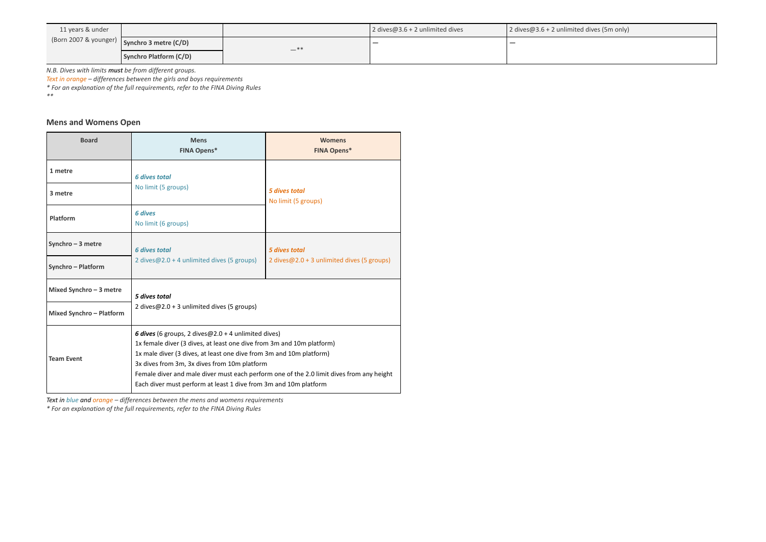| 11 years & under |                                                                  |     | 2 dives@3.6 + 2 unlimited dives | 2 dives@3.6 + 2 unlimite |
|------------------|------------------------------------------------------------------|-----|---------------------------------|--------------------------|
|                  | (Born 2007 & younger) $\sqrt{\frac{1}{2}}$ Synchro 3 metre (C/D) | —** |                                 |                          |
|                  | Synchro Platform (C/D)                                           |     |                                 |                          |

*N.B. Dives with limits must be from different groups.*

*Text in orange – differences between the girls and boys requirements*

*\* For an explanation of the full requirements, refer to the FINA Diving Rules*

*\*\**

### **Mens and Womens Open**

| <b>Board</b>                    | <b>Mens</b><br><b>FINA Opens*</b>                                                                                                                                                                                                                                                                                                                                                                                             | <b>Womens</b><br><b>FINA Opens*</b>                                |  |
|---------------------------------|-------------------------------------------------------------------------------------------------------------------------------------------------------------------------------------------------------------------------------------------------------------------------------------------------------------------------------------------------------------------------------------------------------------------------------|--------------------------------------------------------------------|--|
| 1 metre                         | <b>6 dives total</b>                                                                                                                                                                                                                                                                                                                                                                                                          |                                                                    |  |
| 3 metre                         | No limit (5 groups)                                                                                                                                                                                                                                                                                                                                                                                                           | 5 dives total<br>No limit (5 groups)                               |  |
| Platform                        | <b>6 dives</b><br>No limit (6 groups)                                                                                                                                                                                                                                                                                                                                                                                         |                                                                    |  |
| Synchro $-3$ metre              | <b>6 dives total</b>                                                                                                                                                                                                                                                                                                                                                                                                          | <b>5 dives total</b><br>2 dives@2.0 + 3 unlimited dives (5 groups) |  |
| Synchro - Platform              | 2 dives $@2.0 + 4$ unlimited dives (5 groups)                                                                                                                                                                                                                                                                                                                                                                                 |                                                                    |  |
| Mixed Synchro $-3$ metre        | 5 dives total                                                                                                                                                                                                                                                                                                                                                                                                                 |                                                                    |  |
| <b>Mixed Synchro - Platform</b> | 2 dives $@2.0 + 3$ unlimited dives (5 groups)                                                                                                                                                                                                                                                                                                                                                                                 |                                                                    |  |
| <b>Team Event</b>               | <b>6 dives</b> (6 groups, 2 dives $@2.0 + 4$ unlimited dives)<br>1x female diver (3 dives, at least one dive from 3m and 10m platform)<br>1x male diver (3 dives, at least one dive from 3m and 10m platform)<br>3x dives from 3m, 3x dives from 10m platform<br>Female diver and male diver must each perform one of the 2.0 limit dives from any height<br>Each diver must perform at least 1 dive from 3m and 10m platform |                                                                    |  |

*Text in blue and orange – differences between the mens and womens requirements*

*\* For an explanation of the full requirements, refer to the FINA Diving Rules*

ed dives (5m only)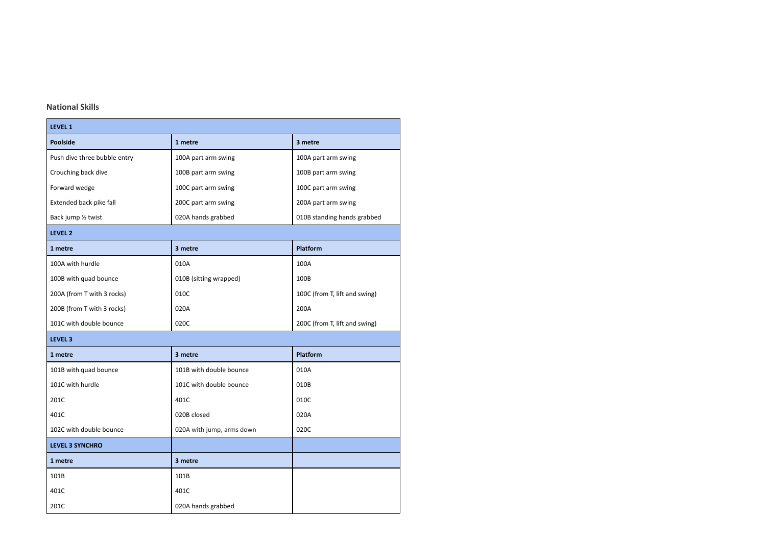## **National Skills**

| LEVEL 1                      |                           |                               |  |  |
|------------------------------|---------------------------|-------------------------------|--|--|
| <b>Poolside</b>              | 1 metre                   | 3 metre                       |  |  |
| Push dive three bubble entry | 100A part arm swing       | 100A part arm swing           |  |  |
| Crouching back dive          | 100B part arm swing       | 100B part arm swing           |  |  |
| Forward wedge                | 100C part arm swing       | 100C part arm swing           |  |  |
| Extended back pike fall      | 200C part arm swing       | 200A part arm swing           |  |  |
| Back jump 1/2 twist          | 020A hands grabbed        | 010B standing hands grabbed   |  |  |
| LEVEL <sub>2</sub>           |                           |                               |  |  |
| 1 metre                      | 3 metre                   | Platform                      |  |  |
| 100A with hurdle             | 010A                      | 100A                          |  |  |
| 100B with quad bounce        | 010B (sitting wrapped)    | 100B                          |  |  |
| 200A (from T with 3 rocks)   | 010C                      | 100C (from T, lift and swing) |  |  |
| 200B (from T with 3 rocks)   | 020A                      | 200A                          |  |  |
| 101C with double bounce      | 020C                      | 200C (from T, lift and swing) |  |  |
| LEVEL <sub>3</sub>           |                           |                               |  |  |
| 1 metre                      | 3 metre                   | Platform                      |  |  |
| 101B with quad bounce        | 101B with double bounce   | 010A                          |  |  |
| 101C with hurdle             | 101C with double bounce   | 010B                          |  |  |
| 201C                         | 401C                      | 010C                          |  |  |
| 401C                         | 020B closed               | 020A                          |  |  |
| 102C with double bounce      | 020A with jump, arms down | 020C                          |  |  |
| <b>LEVEL 3 SYNCHRO</b>       |                           |                               |  |  |
| 1 metre                      | 3 metre                   |                               |  |  |
| 101B                         | 101B                      |                               |  |  |
| 401C                         | 401C                      |                               |  |  |
| 201C                         | 020A hands grabbed        |                               |  |  |